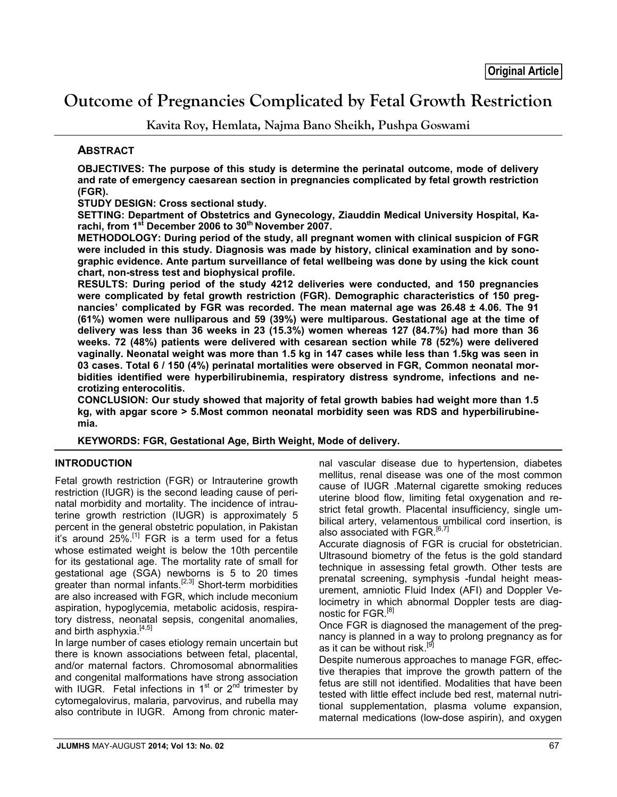# **Outcome of Pregnancies Complicated by Fetal Growth Restriction**

**Kavita Roy, Hemlata, Najma Bano Sheikh, Pushpa Goswami**

## **ABSTRACT**

**OBJECTIVES: The purpose of this study is determine the perinatal outcome, mode of delivery and rate of emergency caesarean section in pregnancies complicated by fetal growth restriction (FGR).**

**STUDY DESIGN: Cross sectional study.**

**SETTING: Department of Obstetrics and Gynecology, Ziauddin Medical University Hospital, Ka**rachi, from 1<sup>st</sup> December 2006 to 30<sup>th</sup> November 2007.

**METHODOLOGY: During period of the study, all pregnant women with clinical suspicion of FGR were included in this study. Diagnosis was made by history, clinical examination and by sonographic evidence. Ante partum surveillance of fetal wellbeing was done by using the kick count chart, non-stress test and biophysical profile.** 

**RESULTS: During period of the study 4212 deliveries were conducted, and 150 pregnancies were complicated by fetal growth restriction (FGR). Demographic characteristics of 150 pregnancies' complicated by FGR was recorded. The mean maternal age was 26.48 ± 4.06. The 91 (61%) women were nulliparous and 59 (39%) were multiparous. Gestational age at the time of delivery was less than 36 weeks in 23 (15.3%) women whereas 127 (84.7%) had more than 36 weeks. 72 (48%) patients were delivered with cesarean section while 78 (52%) were delivered vaginally. Neonatal weight was more than 1.5 kg in 147 cases while less than 1.5kg was seen in 03 cases. Total 6 / 150 (4%) perinatal mortalities were observed in FGR, Common neonatal morbidities identified were hyperbilirubinemia, respiratory distress syndrome, infections and necrotizing enterocolitis.**

**CONCLUSION: Our study showed that majority of fetal growth babies had weight more than 1.5 kg, with apgar score > 5.Most common neonatal morbidity seen was RDS and hyperbilirubinemia.**

**KEYWORDS: FGR, Gestational Age, Birth Weight, Mode of delivery.**

#### **INTRODUCTION**

Fetal growth restriction (FGR) or Intrauterine growth restriction (IUGR) is the second leading cause of perinatal morbidity and mortality. The incidence of intrauterine growth restriction (IUGR) is approximately 5 percent in the general obstetric population, in Pakistan  $i$ t's around 25%.<sup>[1]</sup> FGR is a term used for a fetus whose estimated weight is below the 10th percentile for its gestational age. The mortality rate of small for gestational age (SGA) newborns is 5 to 20 times greater than normal infants.<sup>[2,3]</sup> Short-term morbidities are also increased with FGR, which include meconium aspiration, hypoglycemia, metabolic acidosis, respiratory distress, neonatal sepsis, congenital anomalies, and birth asphyxia.<sup>[4,5]</sup>

In large number of cases etiology remain uncertain but there is known associations between fetal, placental, and/or maternal factors. Chromosomal abnormalities and congenital malformations have strong association with IUGR. Fetal infections in  $1<sup>st</sup>$  or  $2<sup>nd</sup>$  trimester by cytomegalovirus, malaria, parvovirus, and rubella may also contribute in IUGR. Among from chronic maternal vascular disease due to hypertension, diabetes mellitus, renal disease was one of the most common cause of IUGR .Maternal cigarette smoking reduces uterine blood flow, limiting fetal oxygenation and restrict fetal growth. Placental insufficiency, single umbilical artery, velamentous umbilical cord insertion, is also associated with FGR.<sup>[6,7]</sup>

Accurate diagnosis of FGR is crucial for obstetrician. Ultrasound biometry of the fetus is the gold standard technique in assessing fetal growth. Other tests are prenatal screening, symphysis -fundal height measurement, amniotic Fluid Index (AFI) and Doppler Velocimetry in which abnormal Doppler tests are diagnostic for FGR.<sup>[8]</sup>

Once FGR is diagnosed the management of the pregnancy is planned in a way to prolong pregnancy as for as it can be without risk.<sup>[9]</sup>

Despite numerous approaches to manage FGR, effective therapies that improve the growth pattern of the fetus are still not identified. Modalities that have been tested with little effect include bed rest, maternal nutritional supplementation, plasma volume expansion, maternal medications (low-dose aspirin), and oxygen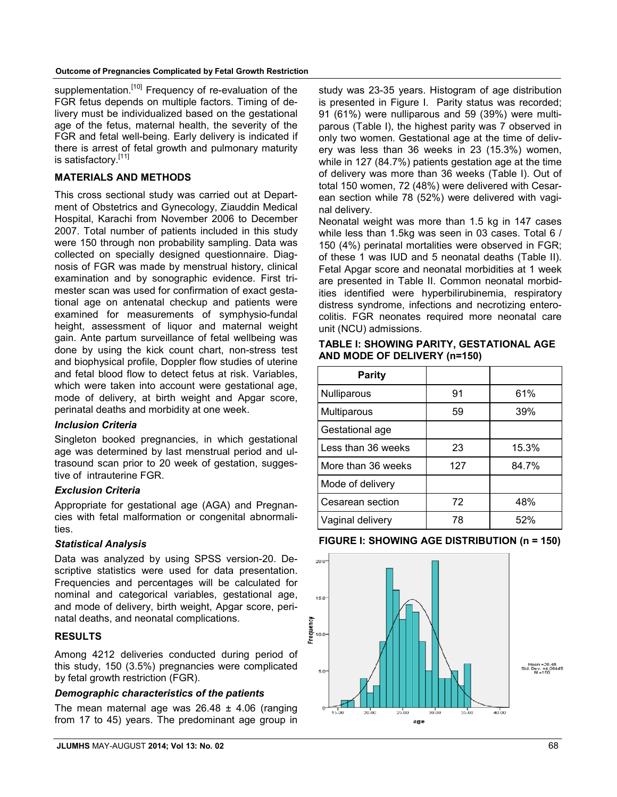supplementation.<sup>[10]</sup> Frequency of re-evaluation of the FGR fetus depends on multiple factors. Timing of delivery must be individualized based on the gestational age of the fetus, maternal health, the severity of the FGR and fetal well-being. Early delivery is indicated if there is arrest of fetal growth and pulmonary maturity is satisfactory.<sup>[11]</sup>

#### **MATERIALS AND METHODS**

This cross sectional study was carried out at Department of Obstetrics and Gynecology, Ziauddin Medical Hospital, Karachi from November 2006 to December 2007. Total number of patients included in this study were 150 through non probability sampling. Data was collected on specially designed questionnaire. Diagnosis of FGR was made by menstrual history, clinical examination and by sonographic evidence. First trimester scan was used for confirmation of exact gestational age on antenatal checkup and patients were examined for measurements of symphysio-fundal height, assessment of liquor and maternal weight gain. Ante partum surveillance of fetal wellbeing was done by using the kick count chart, non-stress test and biophysical profile, Doppler flow studies of uterine and fetal blood flow to detect fetus at risk. Variables, which were taken into account were gestational age, mode of delivery, at birth weight and Apgar score, perinatal deaths and morbidity at one week.

#### *Inclusion Criteria*

Singleton booked pregnancies, in which gestational age was determined by last menstrual period and ultrasound scan prior to 20 week of gestation, suggestive of intrauterine FGR.

#### *Exclusion Criteria*

Appropriate for gestational age (AGA) and Pregnancies with fetal malformation or congenital abnormalities.

#### *Statistical Analysis*

Data was analyzed by using SPSS version-20. Descriptive statistics were used for data presentation. Frequencies and percentages will be calculated for nominal and categorical variables, gestational age, and mode of delivery, birth weight, Apgar score, perinatal deaths, and neonatal complications.

#### **RESULTS**

Among 4212 deliveries conducted during period of this study, 150 (3.5%) pregnancies were complicated by fetal growth restriction (FGR).

#### *Demographic characteristics of the patients*

The mean maternal age was  $26.48 \pm 4.06$  (ranging from 17 to 45) years. The predominant age group in study was 23-35 years. Histogram of age distribution is presented in Figure I. Parity status was recorded; 91 (61%) were nulliparous and 59 (39%) were multiparous (Table I), the highest parity was 7 observed in only two women. Gestational age at the time of delivery was less than 36 weeks in 23 (15.3%) women, while in 127 (84.7%) patients gestation age at the time of delivery was more than 36 weeks (Table I). Out of total 150 women, 72 (48%) were delivered with Cesarean section while 78 (52%) were delivered with vaginal delivery.

Neonatal weight was more than 1.5 kg in 147 cases while less than 1.5kg was seen in 03 cases. Total 6 / 150 (4%) perinatal mortalities were observed in FGR; of these 1 was IUD and 5 neonatal deaths (Table II). Fetal Apgar score and neonatal morbidities at 1 week are presented in Table II. Common neonatal morbidities identified were hyperbilirubinemia, respiratory distress syndrome, infections and necrotizing enterocolitis. FGR neonates required more neonatal care unit (NCU) admissions.

#### **TABLE I: SHOWING PARITY, GESTATIONAL AGE AND MODE OF DELIVERY (n=150)**

| <b>Parity</b>      |     |       |
|--------------------|-----|-------|
| Nulliparous        | 91  | 61%   |
| Multiparous        | 59  | 39%   |
| Gestational age    |     |       |
| Less than 36 weeks | 23  | 15.3% |
| More than 36 weeks | 127 | 84.7% |
| Mode of delivery   |     |       |
| Cesarean section   | 72  | 48%   |
| Vaginal delivery   | 78  | 52%   |

#### **FIGURE I: SHOWING AGE DISTRIBUTION (n = 150)**

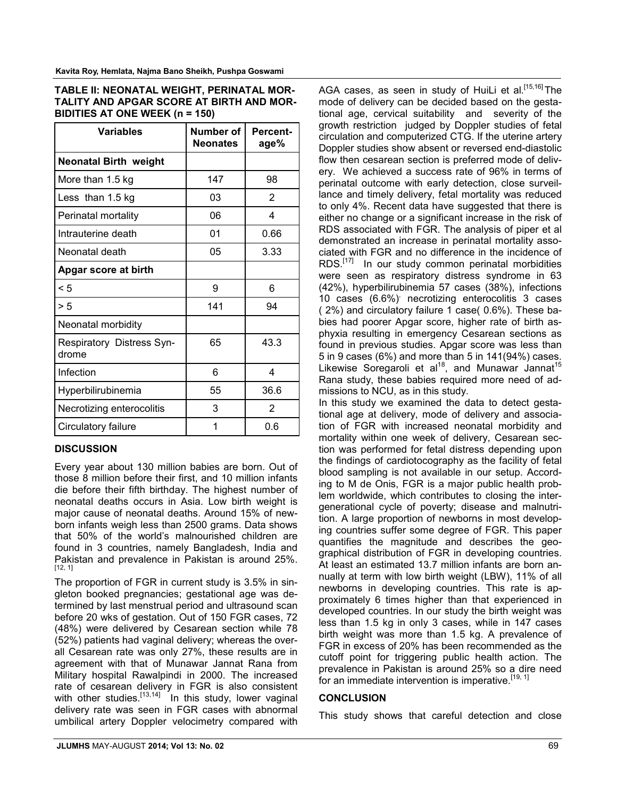**Kavita Roy, Hemlata, Najma Bano Sheikh, Pushpa Goswami**

| TABLE II: NEONATAL WEIGHT, PERINATAL MOR- |
|-------------------------------------------|
| TALITY AND APGAR SCORE AT BIRTH AND MOR-  |
| BIDITIES AT ONE WEEK $(n = 150)$          |

| <b>Variables</b>                   | Number of<br><b>Neonates</b> | <b>Percent-</b><br>age% |
|------------------------------------|------------------------------|-------------------------|
| <b>Neonatal Birth weight</b>       |                              |                         |
| More than 1.5 kg                   | 147                          | 98                      |
| Less than 1.5 kg                   | 03                           | 2                       |
| Perinatal mortality                | 06                           | 4                       |
| Intrauterine death                 | 01                           | 0.66                    |
| Neonatal death                     | 05                           | 3.33                    |
| Apgar score at birth               |                              |                         |
| < 5                                | 9                            | 6                       |
| > 5                                | 141                          | 94                      |
| Neonatal morbidity                 |                              |                         |
| Respiratory Distress Syn-<br>drome | 65                           | 43.3                    |
| Infection                          | 6                            | 4                       |
| Hyperbilirubinemia                 | 55                           | 36.6                    |
| Necrotizing enterocolitis          | 3                            | 2                       |
| Circulatory failure                | 1                            | 0.6                     |

# **DISCUSSION**

Every year about 130 million babies are born. Out of those 8 million before their first, and 10 million infants die before their fifth birthday. The highest number of neonatal deaths occurs in Asia. Low birth weight is major cause of neonatal deaths. Around 15% of newborn infants weigh less than 2500 grams. Data shows that 50% of the world's malnourished children are found in 3 countries, namely Bangladesh, India and Pakistan and prevalence in Pakistan is around 25%. [12, 1]

The proportion of FGR in current study is 3.5% in singleton booked pregnancies; gestational age was determined by last menstrual period and ultrasound scan before 20 wks of gestation. Out of 150 FGR cases, 72 (48%) were delivered by Cesarean section while 78 (52%) patients had vaginal delivery; whereas the overall Cesarean rate was only 27%, these results are in agreement with that of Munawar Jannat Rana from Military hospital Rawalpindi in 2000. The increased rate of cesarean delivery in FGR is also consistent with other studies.<sup>[13,14]</sup> In this study, lower vaginal delivery rate was seen in FGR cases with abnormal umbilical artery Doppler velocimetry compared with AGA cases, as seen in study of HuiLi et al.<sup>[15,16]</sup> The mode of delivery can be decided based on the gestational age, cervical suitability and severity of the growth restriction judged by Doppler studies of fetal circulation and computerized CTG. If the uterine artery Doppler studies show absent or reversed end-diastolic flow then cesarean section is preferred mode of delivery. We achieved a success rate of 96% in terms of perinatal outcome with early detection, close surveillance and timely delivery, fetal mortality was reduced to only 4%. Recent data have suggested that there is either no change or a significant increase in the risk of RDS associated with FGR. The analysis of piper et al demonstrated an increase in perinatal mortality associated with FGR and no difference in the incidence of RDS.<sup>[17]</sup> In our study common perinatal morbidities were seen as respiratory distress syndrome in 63 (42%), hyperbilirubinemia 57 cases (38%), infections 10 cases (6.6%)<sup>,</sup> necrotizing enterocolitis 3 cases ( 2%) and circulatory failure 1 case( 0.6%). These babies had poorer Apgar score, higher rate of birth asphyxia resulting in emergency Cesarean sections as found in previous studies. Apgar score was less than 5 in 9 cases (6%) and more than 5 in 141(94%) cases. Likewise Soregaroli et al<sup>18</sup>, and Munawar Jannat<sup>15</sup> Rana study, these babies required more need of admissions to NCU, as in this study.

In this study we examined the data to detect gestational age at delivery, mode of delivery and association of FGR with increased neonatal morbidity and mortality within one week of delivery, Cesarean section was performed for fetal distress depending upon the findings of cardiotocography as the facility of fetal blood sampling is not available in our setup. According to M de Onis, FGR is a major public health problem worldwide, which contributes to closing the intergenerational cycle of poverty; disease and malnutrition. A large proportion of newborns in most developing countries suffer some degree of FGR. This paper quantifies the magnitude and describes the geographical distribution of FGR in developing countries. At least an estimated 13.7 million infants are born annually at term with low birth weight (LBW), 11% of all newborns in developing countries. This rate is approximately 6 times higher than that experienced in developed countries. In our study the birth weight was less than 1.5 kg in only 3 cases, while in 147 cases birth weight was more than 1.5 kg. A prevalence of FGR in excess of 20% has been recommended as the cutoff point for triggering public health action. The prevalence in Pakistan is around 25% so a dire need for an immediate intervention is imperative.<sup>[19, 1]</sup>

# **CONCLUSION**

This study shows that careful detection and close